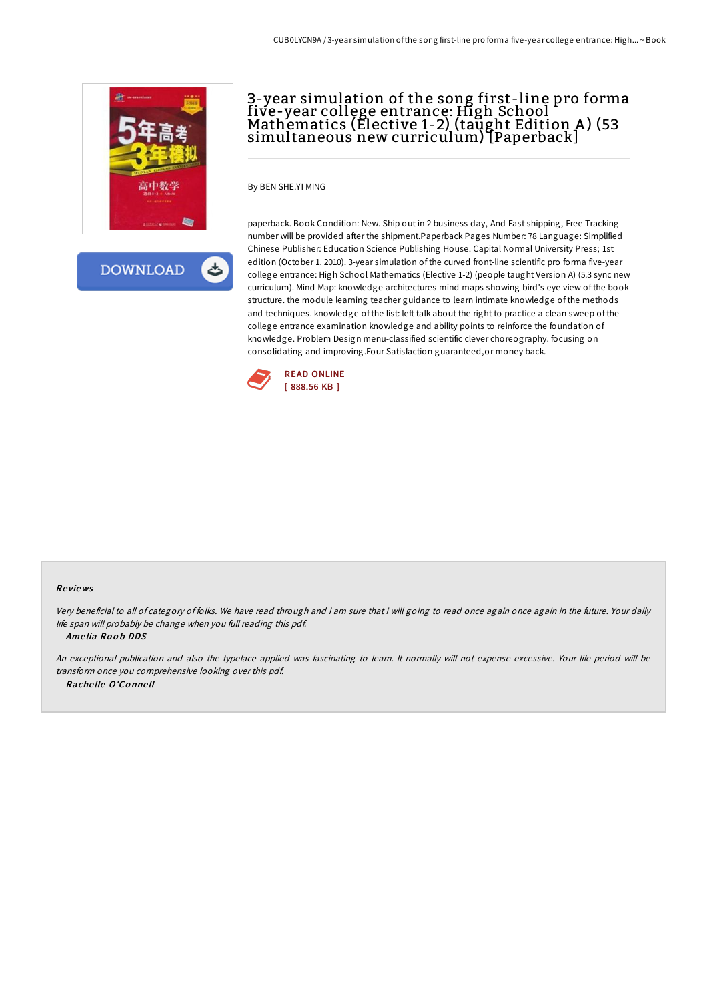

کے **DOWNLOAD** 

## 3-year simulation of the song first-line pro forma five-year college entrance: High School Mathematics (Elective 1-2) (taŭght Edition A) (53 simultaneous new curriculum) [Paperback]

By BEN SHE.YI MING

paperback. Book Condition: New. Ship out in 2 business day, And Fast shipping, Free Tracking number will be provided after the shipment.Paperback Pages Number: 78 Language: Simplified Chinese Publisher: Education Science Publishing House. Capital Normal University Press; 1st edition (October 1. 2010). 3-year simulation of the curved front-line scientific pro forma five-year college entrance: High School Mathematics (Elective 1-2) (people taught Version A) (5.3 sync new curriculum). Mind Map: knowledge architectures mind maps showing bird's eye view of the book structure. the module learning teacher guidance to learn intimate knowledge of the methods and techniques. knowledge of the list: left talk about the right to practice a clean sweep of the college entrance examination knowledge and ability points to reinforce the foundation of knowledge. Problem Design menu-classified scientific clever choreography. focusing on consolidating and improving.Four Satisfaction guaranteed,or money back.



## Re views

Very beneficial to all of category of folks. We have read through and i am sure that i will going to read once again once again in the future. Your daily life span will probably be change when you full reading this pdf.

-- Amelia Roob DDS

An exceptional publication and also the typeface applied was fascinating to learn. It normally will not expense excessive. Your life period will be transform once you comprehensive looking over this pdf. -- Rache lle O'Co nne ll